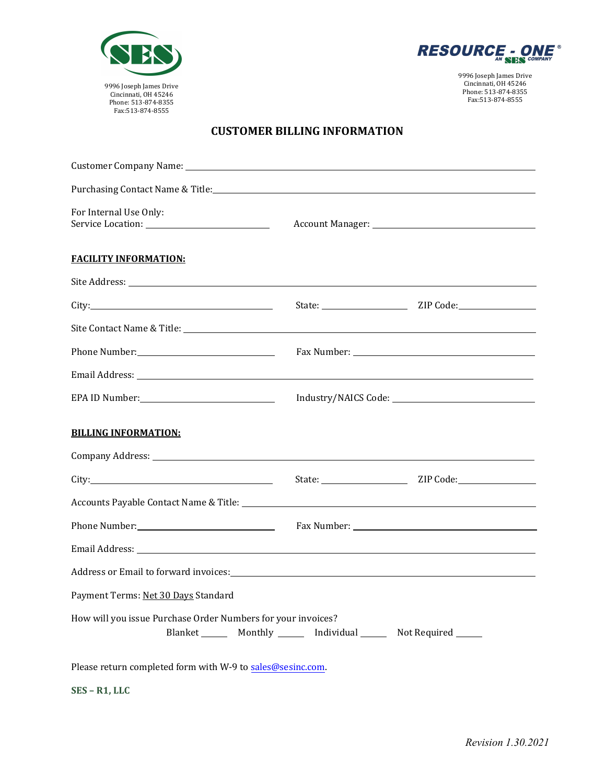



9996 Joseph James Drive Cincinnati, OH 45246 Phone: 513-874-8355 Fax:513-874-8555

## **CUSTOMER BILLING INFORMATION**

| For Internal Use Only:                                                                                                                                                                                                         |  |                  |
|--------------------------------------------------------------------------------------------------------------------------------------------------------------------------------------------------------------------------------|--|------------------|
| <b>FACILITY INFORMATION:</b>                                                                                                                                                                                                   |  |                  |
|                                                                                                                                                                                                                                |  |                  |
| City:                                                                                                                                                                                                                          |  | State: ZIP Code: |
| Site Contact Name & Title: Name of The Site of the Site of the Site of the Site of the Site of the Site of the Site of the Site of the Site of the Site of the Site of the Site of the Site of the Site of the Site of the Sit |  |                  |
|                                                                                                                                                                                                                                |  |                  |
|                                                                                                                                                                                                                                |  |                  |
|                                                                                                                                                                                                                                |  |                  |
| <b>BILLING INFORMATION:</b>                                                                                                                                                                                                    |  |                  |
| Company Address: Universe of the Company Address:                                                                                                                                                                              |  |                  |
| City: City:                                                                                                                                                                                                                    |  | State: ZIP Code: |
|                                                                                                                                                                                                                                |  |                  |
|                                                                                                                                                                                                                                |  |                  |
|                                                                                                                                                                                                                                |  |                  |
| Address or Email to forward invoices: Manual Community of the Address or Email to forward invoices:                                                                                                                            |  |                  |
| Payment Terms: Net 30 Days Standard                                                                                                                                                                                            |  |                  |
| How will you issue Purchase Order Numbers for your invoices?<br>Blanket ________ Monthly ________ Individual ________ Not Required _______                                                                                     |  |                  |
| Please return completed form with W-9 to sales@sesinc.com.                                                                                                                                                                     |  |                  |

**SES – R1, LLC**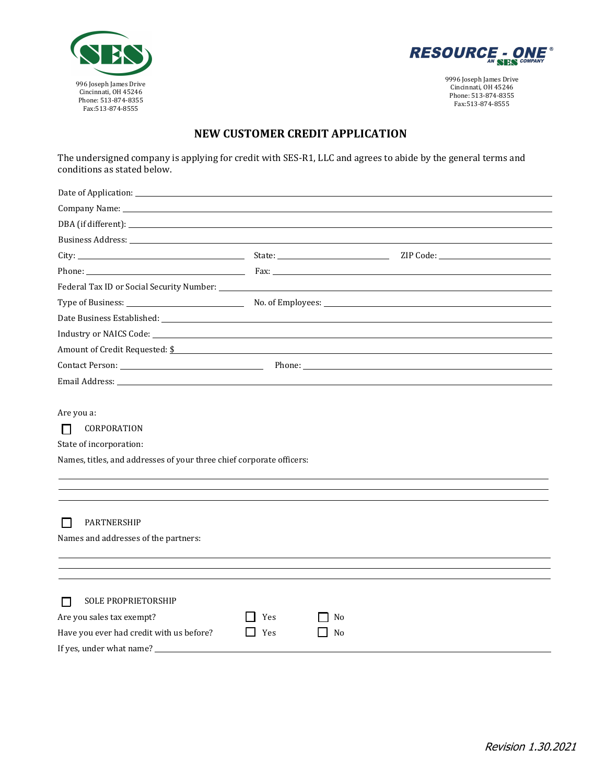



9996 Joseph James Drive Cincinnati, OH 45246 Phone: 513-874-8355 Fax:513-874-8555

## **NEW CUSTOMER CREDIT APPLICATION**

The undersigned company is applying for credit with SES-R1, LLC and agrees to abide by the general terms and conditions as stated below.

| Business Address: The Contract of the Contract of the Contract of the Contract of the Contract of the Contract of the Contract of the Contract of the Contract of the Contract of the Contract of the Contract of the Contract |            |          |  |
|--------------------------------------------------------------------------------------------------------------------------------------------------------------------------------------------------------------------------------|------------|----------|--|
|                                                                                                                                                                                                                                |            |          |  |
|                                                                                                                                                                                                                                |            |          |  |
|                                                                                                                                                                                                                                |            |          |  |
|                                                                                                                                                                                                                                |            |          |  |
|                                                                                                                                                                                                                                |            |          |  |
|                                                                                                                                                                                                                                |            |          |  |
| Amount of Credit Requested: \$                                                                                                                                                                                                 |            |          |  |
| Contact Person: Phone: Phone: Phone: Phone: Phone: Phone: Phone: Phone: Phone: Phone: Phone: Phone: Phone: Phone: Phone: Phone: Phone: Phone: Phone: Phone: Phone: Phone: Phone: Phone: Phone: Phone: Phone: Phone: Phone: Pho |            |          |  |
|                                                                                                                                                                                                                                |            |          |  |
| State of incorporation:<br>Names, titles, and addresses of your three chief corporate officers:                                                                                                                                |            |          |  |
| PARTNERSHIP<br>Names and addresses of the partners:                                                                                                                                                                            |            |          |  |
|                                                                                                                                                                                                                                |            |          |  |
| SOLE PROPRIETORSHIP<br>П<br>Are you sales tax exempt?<br>Have you ever had credit with us before?<br>If yes, under what name?                                                                                                  | Yes<br>Yes | No<br>No |  |